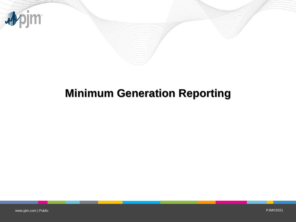

# **Minimum Generation Reporting**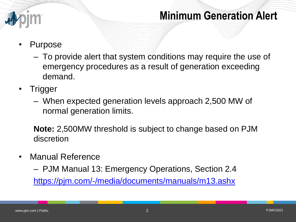

- Purpose
	- To provide alert that system conditions may require the use of emergency procedures as a result of generation exceeding demand.
- **Trigger** 
	- When expected generation levels approach 2,500 MW of normal generation limits.

**Note:** 2,500MW threshold is subject to change based on PJM discretion

• Manual Reference

– PJM Manual 13: Emergency Operations, Section 2.4 <https://pjm.com/-/media/documents/manuals/m13.ashx>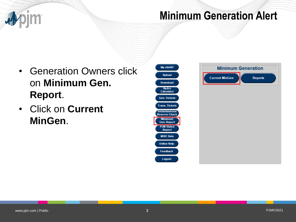

- Generation Owners click on **Minimum Gen. Report**.
- Click on **Current MinGen**.



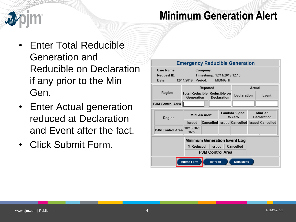- Enter Total Reducible Generation and Reducible on Declaration if any prior to the Min Gen.
- Enter Actual generation reduced at Declaration and Event after the fact.
- Click Submit Form.

| <b>Emergency Reducible Generation</b>                                                                                  |                                                   |                                                    |                          |                    |                              |              |
|------------------------------------------------------------------------------------------------------------------------|---------------------------------------------------|----------------------------------------------------|--------------------------|--------------------|------------------------------|--------------|
| User Name:<br>Company:<br>Timestamp: 12/11/2019 12:13<br>Request ID:<br>12/11/2019 Period:<br><b>MIDNIGHT</b><br>Date: |                                                   |                                                    |                          |                    |                              |              |
|                                                                                                                        | Reported                                          |                                                    |                          | Actual             |                              |              |
| Region                                                                                                                 | <b>Total Reducible Reducible on</b><br>Generation |                                                    | <b>Declaration</b>       | <b>Declaration</b> |                              | <b>Event</b> |
| PJM Control Area                                                                                                       |                                                   |                                                    |                          |                    |                              |              |
| Region                                                                                                                 | <b>MinGen Alert</b>                               |                                                    | Lambda Signal<br>to Zero |                    | MinGen<br><b>Declaration</b> |              |
|                                                                                                                        | <b>Issued</b>                                     | <b>Cancelled Issued Cancelled Issued Cancelled</b> |                          |                    |                              |              |
| <b>PJM Control Area</b>                                                                                                | 10/15/2020<br>16:56                               |                                                    |                          |                    |                              |              |
| <b>Minimum Generation Event Log</b>                                                                                    |                                                   |                                                    |                          |                    |                              |              |
|                                                                                                                        | <b>Issued</b><br>Cancelled<br>% Reduced           |                                                    |                          |                    |                              |              |
| <b>PJM Control Area</b>                                                                                                |                                                   |                                                    |                          |                    |                              |              |
| <b>Submit Form</b><br>Refresh<br><b>Main Menu</b>                                                                      |                                                   |                                                    |                          |                    |                              |              |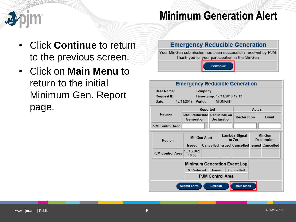- Click **Continue** to return to the previous screen.
- Click on **Main Menu** to return to the initial Minimum Gen. Report page.

### **Emergency Reducible Generation**

Your MinGen submission has been successfully received by PJM. Thank you for your participation in the MinGen.

Continue

### **Emergency Reducible Generation User Name:** Company: **Request ID:** Timestamp: 12/11/2019 12:13 12/11/2019 Period: **MIDNIGHT** Date: Reported Actual Region Total Reducible Reducible on Declaration Event Generation Declaration **PJM Control Area** Lambda Signal **MinGen MinGen Alert** to Zero **Declaration** Region **Cancelled Issued Cancelled Issued Cancelled Issued** 10/15/2020 **PJM Control Area** 16:56 **Minimum Generation Event Log** % Reduced Issued Cancelled **PJM Control Area Submit Form** Refresh **Main Menu**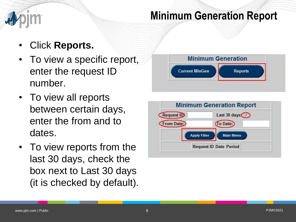# **Minimum Generation Report**

- Click **Reports.**
- To view a specific report, enter the request ID number.
- To view all reports between certain days, enter the from and to dates.
- To view reports from the last 30 days, check the box next to Last 30 days (it is checked by default).



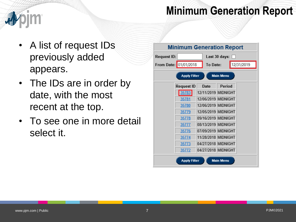### **Minimum Generation Report**



- A list of request IDs previously added appears.
- The IDs are in order by date, with the most recent at the top.
- To see one in more detail select it.